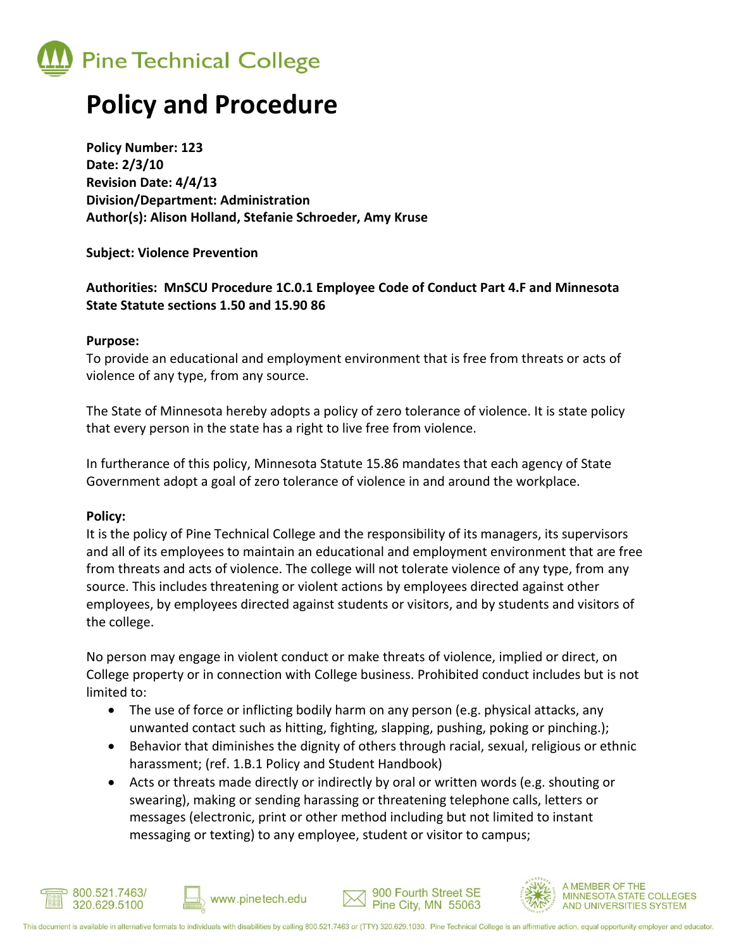

### **Policy and Procedure**

**Policy Number: 123 Date: 2/3/10 Revision Date: 4/4/13 Division/Department: Administration Author(s): Alison Holland, Stefanie Schroeder, Amy Kruse**

**Subject: Violence Prevention**

### **Authorities: MnSCU Procedure 1C.0.1 Employee Code of Conduct Part 4.F and Minnesota State Statute sections 1.50 and 15.90 86**

#### **Purpose:**

To provide an educational and employment environment that is free from threats or acts of violence of any type, from any source.

The State of Minnesota hereby adopts a policy of zero tolerance of violence. It is state policy that every person in the state has a right to live free from violence.

In furtherance of this policy, Minnesota Statute 15.86 mandates that each agency of State Government adopt a goal of zero tolerance of violence in and around the workplace.

### **Policy:**

It is the policy of Pine Technical College and the responsibility of its managers, its supervisors and all of its employees to maintain an educational and employment environment that are free from threats and acts of violence. The college will not tolerate violence of any type, from any source. This includes threatening or violent actions by employees directed against other employees, by employees directed against students or visitors, and by students and visitors of the college.

No person may engage in violent conduct or make threats of violence, implied or direct, on College property or in connection with College business. Prohibited conduct includes but is not limited to:

- The use of force or inflicting bodily harm on any person (e.g. physical attacks, any unwanted contact such as hitting, fighting, slapping, pushing, poking or pinching.);
- Behavior that diminishes the dignity of others through racial, sexual, religious or ethnic harassment; (ref. 1.B.1 Policy and Student Handbook)
- Acts or threats made directly or indirectly by oral or written words (e.g. shouting or swearing), making or sending harassing or threatening telephone calls, letters or messages (electronic, print or other method including but not limited to instant messaging or texting) to any employee, student or visitor to campus;



www.pinetech.edu

900 Fourth Street SE

Pine City, MN 55063

**MEMBER OF THE** 

**MINNESOTA STATE COLLEGES** 

AND UNIVERSITIES SYSTEM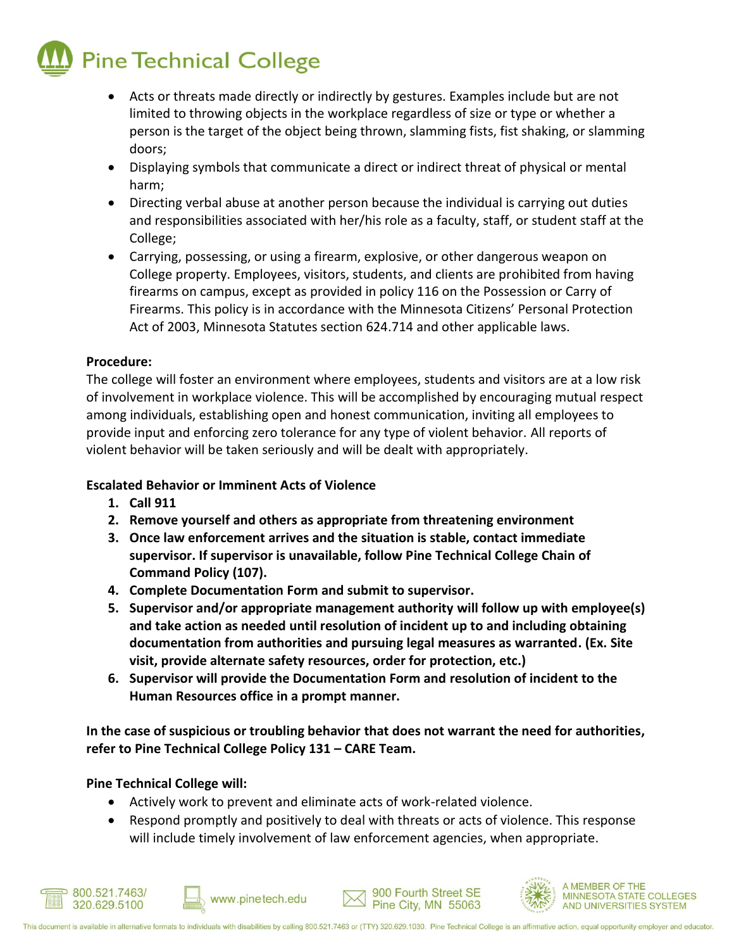# **Pine Technical College**

- Acts or threats made directly or indirectly by gestures. Examples include but are not limited to throwing objects in the workplace regardless of size or type or whether a person is the target of the object being thrown, slamming fists, fist shaking, or slamming doors;
- Displaying symbols that communicate a direct or indirect threat of physical or mental harm;
- Directing verbal abuse at another person because the individual is carrying out duties and responsibilities associated with her/his role as a faculty, staff, or student staff at the College;
- Carrying, possessing, or using a firearm, explosive, or other dangerous weapon on College property. Employees, visitors, students, and clients are prohibited from having firearms on campus, except as provided in policy 116 on the Possession or Carry of Firearms. This policy is in accordance with the Minnesota Citizens' Personal Protection Act of 2003, Minnesota Statutes section 624.714 and other applicable laws.

### **Procedure:**

The college will foster an environment where employees, students and visitors are at a low risk of involvement in workplace violence. This will be accomplished by encouraging mutual respect among individuals, establishing open and honest communication, inviting all employees to provide input and enforcing zero tolerance for any type of violent behavior. All reports of violent behavior will be taken seriously and will be dealt with appropriately.

### **Escalated Behavior or Imminent Acts of Violence**

- **1. Call 911**
- **2. Remove yourself and others as appropriate from threatening environment**
- **3. Once law enforcement arrives and the situation is stable, contact immediate supervisor. If supervisor is unavailable, follow Pine Technical College Chain of Command Policy (107).**
- **4. Complete Documentation Form and submit to supervisor.**
- **5. Supervisor and/or appropriate management authority will follow up with employee(s) and take action as needed until resolution of incident up to and including obtaining documentation from authorities and pursuing legal measures as warranted. (Ex. Site visit, provide alternate safety resources, order for protection, etc.)**
- **6. Supervisor will provide the Documentation Form and resolution of incident to the Human Resources office in a prompt manner.**

**In the case of suspicious or troubling behavior that does not warrant the need for authorities, refer to Pine Technical College Policy 131 – CARE Team.** 

**Pine Technical College will:**

Actively work to prevent and eliminate acts of work-related violence.

www.pinetech.edu

 Respond promptly and positively to deal with threats or acts of violence. This response will include timely involvement of law enforcement agencies, when appropriate.